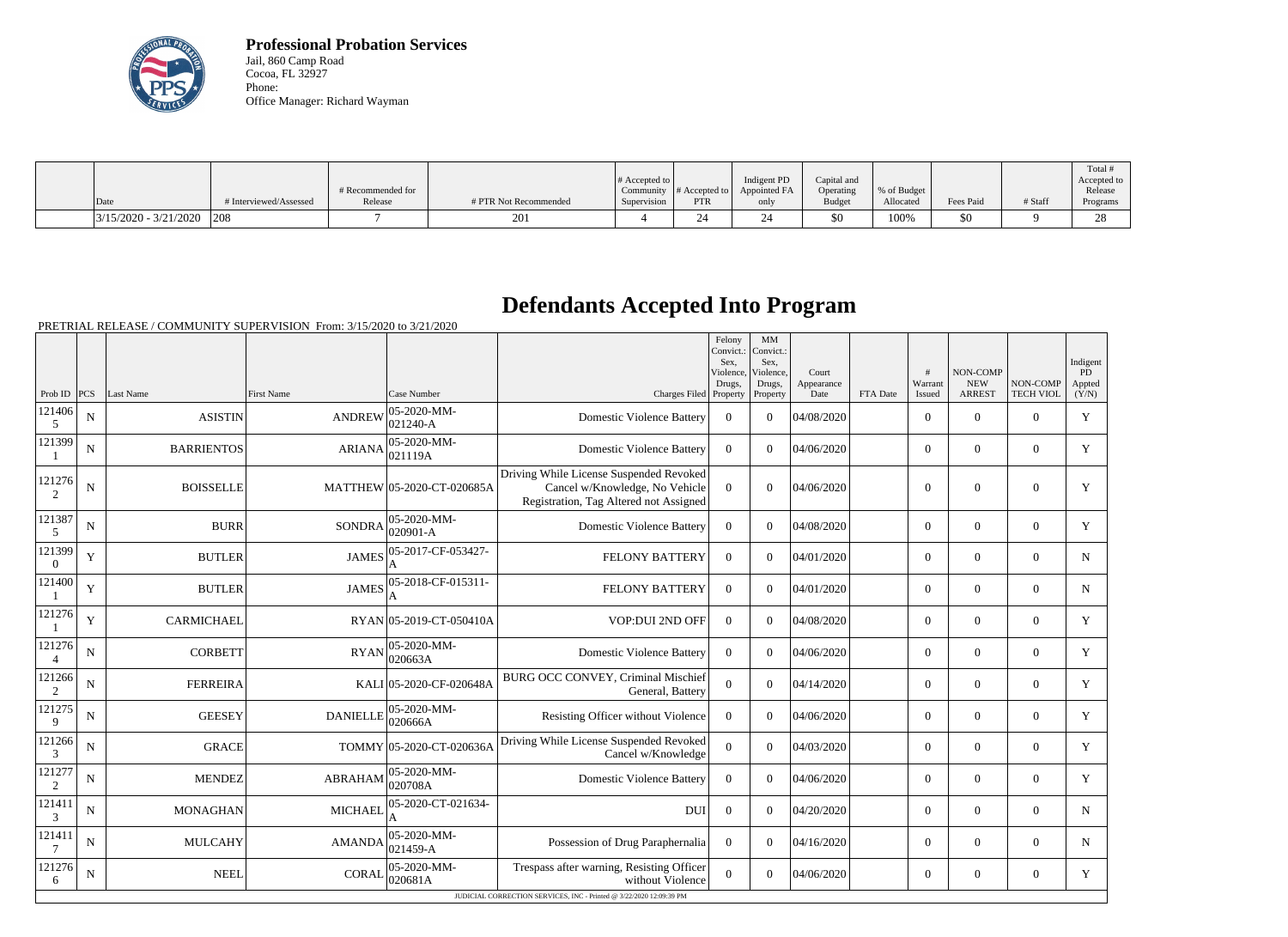

**Professional Probation Services** Jail, 860 Camp Road Cocoa, FL 32927 Phone: Office Manager: Richard Wayman

|                         |                        |                   |                       |                  |                  |              |               |             |           |         | Total !     |
|-------------------------|------------------------|-------------------|-----------------------|------------------|------------------|--------------|---------------|-------------|-----------|---------|-------------|
|                         |                        |                   |                       | $\#$ Accepted to |                  | Indigent PD  | Capital and   |             |           |         | Accepted to |
|                         |                        | # Recommended for |                       | Community        | $\#$ Accepted to | Appointed FA | Operating     | % of Budget |           |         | Release     |
| Date                    | # Interviewed/Assessed | Release           | # PTR Not Recommended | Supervision      | PTR              | only         | <b>Budget</b> | Allocated   | Fees Paid | # Staff | Programs    |
| $3/15/2020 - 3/21/2020$ | 208                    |                   | 201                   |                  | ∠                |              | \$0           | 100%        | 50        |         | 28          |

## **Defendants Accepted Into Program**

PRETRIAL RELEASE / COMMUNITY SUPERVISION From: 3/15/2020 to 3/21/2020

|                                                                     |             |                   |                   |                                 |                                                                                                                     | Felony<br>Convict.:<br>Sex.<br>Violence, | MM<br>Convict.:<br>Sex.<br>Violence, | Court              |          | $\overline{H}$    | NON-COMP                    |                              | Indigent<br>PD  |
|---------------------------------------------------------------------|-------------|-------------------|-------------------|---------------------------------|---------------------------------------------------------------------------------------------------------------------|------------------------------------------|--------------------------------------|--------------------|----------|-------------------|-----------------------------|------------------------------|-----------------|
| Prob ID                                                             | PCS         | Last Name         | <b>First Name</b> | Case Number                     | Charges Filed Property                                                                                              | Drugs,                                   | Drugs,<br>Property                   | Appearance<br>Date | FTA Date | Warrant<br>Issued | <b>NEW</b><br><b>ARREST</b> | NON-COMP<br><b>TECH VIOL</b> | Appted<br>(Y/N) |
| 121406<br>5                                                         | N           | <b>ASISTIN</b>    | <b>ANDREW</b>     | 05-2020-MM-<br>021240-A         | <b>Domestic Violence Battery</b>                                                                                    | $\Omega$                                 | $\theta$                             | 04/08/2020         |          | $\overline{0}$    | $\theta$                    | $\overline{0}$               | Y               |
| 121399                                                              | $\mathbf N$ | <b>BARRIENTOS</b> | <b>ARIANA</b>     | 05-2020-MM-<br>021119A          | <b>Domestic Violence Battery</b>                                                                                    | $\overline{0}$                           | $\Omega$                             | 04/06/2020         |          | $\overline{0}$    | $\overline{0}$              | $\mathbf{0}$                 | Y               |
| 121276<br>2                                                         | $\mathbf N$ | <b>BOISSELLE</b>  |                   | MATTHEW 05-2020-CT-020685A      | Driving While License Suspended Revoked<br>Cancel w/Knowledge, No Vehicle<br>Registration, Tag Altered not Assigned | $\Omega$                                 | $\Omega$                             | 04/06/2020         |          | $\theta$          | $\theta$                    | $\overline{0}$               | Y               |
| 121387<br>5                                                         | N           | <b>BURR</b>       | <b>SONDRA</b>     | $ 05 - 2020 - MM -$<br>020901-A | <b>Domestic Violence Battery</b>                                                                                    | $\overline{0}$                           | $\Omega$                             | 04/08/2020         |          | $\overline{0}$    | $\Omega$                    | $\overline{0}$               | Y               |
| 121399<br>$\Omega$                                                  | Y           | <b>BUTLER</b>     | <b>JAMES</b>      | 05-2017-CF-053427-<br>A         | <b>FELONY BATTERY</b>                                                                                               | $\theta$                                 | $\Omega$                             | 04/01/2020         |          | $\Omega$          | $\theta$                    | $\Omega$                     | $\mathbf N$     |
| 121400                                                              | Y           | <b>BUTLER</b>     | <b>JAMES</b>      | 05-2018-CF-015311-              | <b>FELONY BATTERY</b>                                                                                               | $\theta$                                 | $\Omega$                             | 04/01/2020         |          | $\Omega$          | $\theta$                    | $\Omega$                     | N               |
| 121276                                                              | Y           | <b>CARMICHAEL</b> |                   | RYAN 05-2019-CT-050410A         | VOP:DUI 2ND OFF                                                                                                     | $\overline{0}$                           | $\Omega$                             | 04/08/2020         |          | $\overline{0}$    | $\overline{0}$              | $\overline{0}$               | Y               |
| 121276                                                              | N           | <b>CORBETT</b>    | <b>RYAN</b>       | 05-2020-MM-<br>020663A          | <b>Domestic Violence Battery</b>                                                                                    | $\theta$                                 | $\Omega$                             | 04/06/2020         |          | $\overline{0}$    | $\boldsymbol{0}$            | $\overline{0}$               | Y               |
| 121266<br>2                                                         | N           | <b>FERREIRA</b>   |                   | KALI 05-2020-CF-020648A         | BURG OCC CONVEY, Criminal Mischief<br>General, Battery                                                              | $\Omega$                                 | $\Omega$                             | 04/14/2020         |          | $\overline{0}$    | $\theta$                    | $\overline{0}$               | Y               |
| 121275<br>9                                                         | N           | <b>GEESEY</b>     | <b>DANIELLE</b>   | 05-2020-MM-<br>020666A          | Resisting Officer without Violence                                                                                  | $\overline{0}$                           | $\Omega$                             | 04/06/2020         |          | $\overline{0}$    | $\overline{0}$              | $\overline{0}$               | Y               |
| 121266<br>3                                                         | N           | <b>GRACE</b>      |                   | TOMMY 05-2020-CT-020636A        | Driving While License Suspended Revoked<br>Cancel w/Knowledge                                                       | $\Omega$                                 | $\theta$                             | 04/03/2020         |          | $\overline{0}$    | $\theta$                    | $\overline{0}$               | Y               |
| 121277<br>$\overline{2}$                                            | N           | <b>MENDEZ</b>     | <b>ABRAHAM</b>    | $ 05 - 2020 - MM -$<br>020708A  | <b>Domestic Violence Battery</b>                                                                                    | $\theta$                                 | $\theta$                             | 04/06/2020         |          | $\Omega$          | $\theta$                    | $\Omega$                     | Y               |
| 121411<br>3                                                         | N           | <b>MONAGHAN</b>   | <b>MICHAEL</b>    | 05-2020-CT-021634-              | <b>DUI</b>                                                                                                          | $\overline{0}$                           | $\Omega$                             | 04/20/2020         |          | $\overline{0}$    | $\Omega$                    | $\overline{0}$               | $\mathbf N$     |
| 121411                                                              | N           | <b>MULCAHY</b>    | <b>AMANDA</b>     | $ 05 - 2020 - MM -$<br>021459-A | Possession of Drug Paraphernalia                                                                                    | $\theta$                                 | $\Omega$                             | 04/16/2020         |          | $\overline{0}$    | $\theta$                    | $\Omega$                     | $\mathbf N$     |
| 121276<br>6                                                         | N           | <b>NEEL</b>       | <b>CORAL</b>      | 05-2020-MM-<br>020681A          | Trespass after warning, Resisting Officer<br>without Violence                                                       | $\Omega$                                 | $\Omega$                             | 04/06/2020         |          | $\overline{0}$    | $\overline{0}$              | $\overline{0}$               | Y               |
| JUDICIAL CORRECTION SERVICES, INC - Printed @ 3/22/2020 12:09:39 PM |             |                   |                   |                                 |                                                                                                                     |                                          |                                      |                    |          |                   |                             |                              |                 |